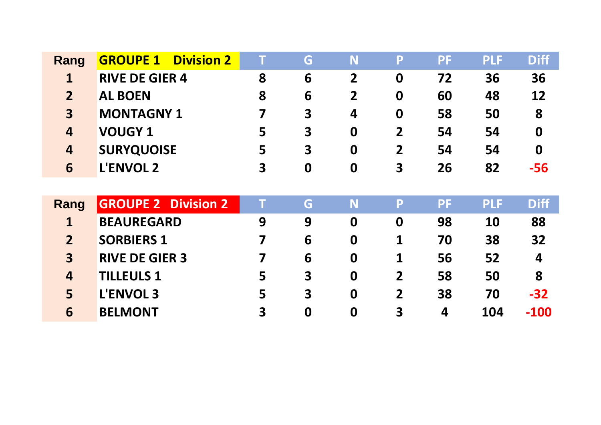| Rang                    | <b>GROUPE 1 Division 2</b> |   | G        | N                | P                       | PF | <b>PLF</b> | <b>Diff</b>      |
|-------------------------|----------------------------|---|----------|------------------|-------------------------|----|------------|------------------|
|                         | <b>RIVE DE GIER 4</b>      | 8 | 6        |                  | 0                       | 72 | 36         | 36               |
| $\overline{2}$          | <b>AL BOEN</b>             | 8 | 6        |                  | 0                       | 60 | 48         | 12               |
| $\overline{\mathbf{3}}$ | <b>MONTAGNY 1</b>          |   | 3        | 4                | 0                       | 58 | 50         | 8                |
| 4                       | <b>VOUGY 1</b>             | 5 | 3        | 0                | $\overline{2}$          | 54 | 54         | $\boldsymbol{0}$ |
| $\overline{4}$          | <b>SURYQUOISE</b>          | 5 | 3        | $\boldsymbol{0}$ | $\overline{2}$          | 54 | 54         | $\bf{0}$         |
| 6                       | <b>L'ENVOL 2</b>           | 3 | $\bf{0}$ | 0                | $\overline{\mathbf{3}}$ | 26 | 82         | -56              |

| Rang           | <b>GROUPE 2 Division 2</b> |   | G | N                | P                       | PF | <b>PLF</b> | <b>Diff</b>      |
|----------------|----------------------------|---|---|------------------|-------------------------|----|------------|------------------|
|                | <b>BEAUREGARD</b>          | 9 | 9 | $\boldsymbol{0}$ |                         | 98 | <b>10</b>  | 88               |
|                | <b>SORBIERS 1</b>          |   | 6 | $\bf{0}$         |                         | 70 | 38         | 32               |
| 3              | <b>RIVE DE GIER 3</b>      |   | 6 | $\bf{0}$         |                         | 56 | 52         | $\boldsymbol{4}$ |
| $\overline{4}$ | <b>TILLEULS 1</b>          | 5 | 3 | $\bf{0}$         | $\overline{2}$          | 58 | 50         | 8                |
|                | <b>L'ENVOL 3</b>           | 5 | 3 | $\bf{0}$         | $\overline{2}$          | 38 | 70         | $-32$            |
| 6              | <b>BELMONT</b>             | 3 | 0 | 0                | $\overline{\mathbf{3}}$ | 4  | 104        | $-100$           |